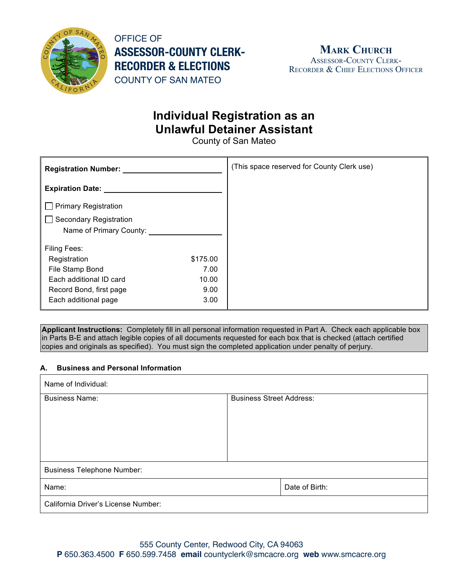

OFFICE OF **ASSESSOR-COUNTY CLERK-RECORDER & ELECTIONS** COUNTY OF SAN MATEO

## **Individual Registration as an Unlawful Detainer Assistant**

County of San Mateo

| <b>Registration Number:</b>   |          | (This space reserved for County Clerk use) |
|-------------------------------|----------|--------------------------------------------|
| <b>Expiration Date:</b>       |          |                                            |
| $\Box$ Primary Registration   |          |                                            |
| <b>Secondary Registration</b> |          |                                            |
| Name of Primary County:       |          |                                            |
| <b>Filing Fees:</b>           |          |                                            |
| Registration                  | \$175.00 |                                            |
| File Stamp Bond               | 7.00     |                                            |
| Each additional ID card       | 10.00    |                                            |
| Record Bond, first page       | 9.00     |                                            |
| Each additional page          | 3.00     |                                            |

**Applicant Instructions:** Completely fill in all personal information requested in Part A. Check each applicable box in Parts B-E and attach legible copies of all documents requested for each box that is checked (attach certified copies and originals as specified). You must sign the completed application under penalty of perjury.

#### **A. Business and Personal Information**

| Name of Individual:                 |                                 |  |  |
|-------------------------------------|---------------------------------|--|--|
| <b>Business Name:</b>               | <b>Business Street Address:</b> |  |  |
|                                     |                                 |  |  |
|                                     |                                 |  |  |
|                                     |                                 |  |  |
|                                     |                                 |  |  |
| <b>Business Telephone Number:</b>   |                                 |  |  |
| Name:                               | Date of Birth:                  |  |  |
| California Driver's License Number: |                                 |  |  |